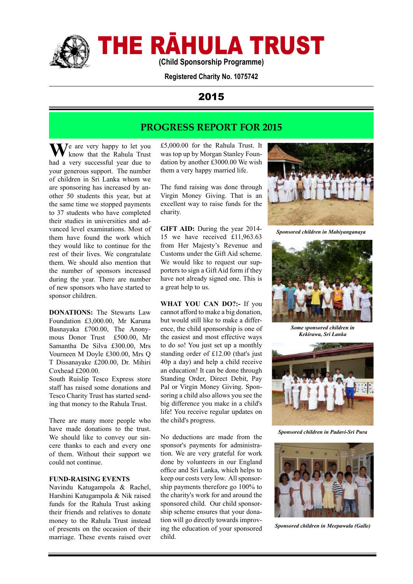

# THE RĀHULA TRUST

**(Child Sponsorship Programme)**

**Registered Charity No. 1075742**

## 2015

## **PROGRESS REPORT FOR 2015**

**M**/e are very happy to let you know that the Rahula Trust had a very successful year due to your generous support. The number of children in Sri Lanka whom we are sponsoring has increased by another 50 students this year, but at the same time we stopped payments to 37 students who have completed their studies in universities and advanced level examinations. Most of them have found the work which they would like to continue for the rest of their lives. We congratulate them. We should also mention that the number of sponsors increased during the year. There are number of new sponsors who have started to sponsor children.

**DONATIONS:** The Stewarts Law Foundation £3,000.00, Mr Karuna Basnayaka £700.00, The Anonymous Donor Trust £500.00, Mr Samantha De Silva £300.00, Mrs Vourneen M Doyle £300.00, Mrs Q T Dissanayake £200.00, Dr. Mihiri Coxhead £200.00.

South Ruislip Tesco Express store staff has raised some donations and Tesco Charity Trust has started sending that money to the Rahula Trust.

There are many more people who have made donations to the trust. We should like to convey our sincere thanks to each and every one of them. Without their support we could not continue.

#### **FUND-RAISING EVENTS**

Navindu Katugampola & Rachel, Harshini Katugampola & Nik raised funds for the Rahula Trust asking their friends and relatives to donate money to the Rahula Trust instead of presents on the occasion of their marriage. These events raised over

£5,000.00 for the Rahula Trust. It was top up by Morgan Stanley Foundation by another £3000.00 We wish them a very happy married life.

The fund raising was done through Virgin Money Giving. That is an excellent way to raise funds for the charity.

**GIFT AID:** During the year 2014-15 we have received £11,963.63 from Her Majesty's Revenue and Customs under the Gift Aid scheme. We would like to request our supporters to sign a Gift Aid form if they have not already signed one. This is a great help to us.

**WHAT YOU CAN DO?:-** If you cannot afford to make a big donation, but would still like to make a difference, the child sponsorship is one of the easiest and most effective ways to do so! You just set up a monthly standing order of £12.00 (that's just 40p a day) and help a child receive an education! It can be done through Standing Order, Direct Debit, Pay Pal or Virgin Money Giving. Sponsoring a child also allows you see the big difference you make in a child's life! You receive regular updates on the child's progress.

No deductions are made from the sponsor's payments for administration. We are very grateful for work done by volunteers in our England office and Sri Lanka, which helps to keep our costs very low. All sponsorship payments therefore go 100% to the charity's work for and around the sponsored child. Our child sponsorship scheme ensures that your donation will go directly towards improving the education of your sponsored child.



*Sponsored children in Mahiyanganaya*



*Some sponsored children in Kekirawa, Sri Lanka*



*Sponsored children in Padavi-Sri Pura*



*Sponsored children in Meepawala (Galle)*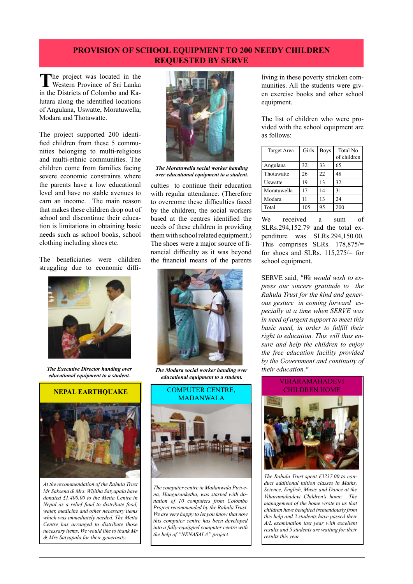#### **PROVISION OF SCHOOL EQUIPMENT TO 200 NEEDY CHILDREN REQUESTED BY SERVE**

**T**he project was located in the Western Province of Sri Lanka in the Districts of Colombo and Kalutara along the identified locations of Angulana, Uswatte, Moratuwella, Modara and Thotawatte.

The project supported 200 identified children from these 5 communities belonging to multi-religious and multi-ethnic communities. The children come from families facing severe economic constraints where the parents have a low educational level and have no stable avenues to earn an income. The main reason that makes these children drop out of school and discontinue their education is limitations in obtaining basic needs such as school books, school clothing including shoes etc.

The beneficiaries were children struggling due to economic diffi-



*The Executive Director handing over educational equipment to a student.*

#### **NEPAL EARTHQUAKE**



*At the recommendation of the Rahula Trust Mr Saksena & Mrs. Wijitha Satyapala have donated £1,400.00 to the Metta Centre in Nepal as a relief fund to distribute food, water, medicine and other necessary items which was immediately needed. The Metta Centre has arranged to distribute those necessary items. We would like to thank Mr & Mrs Satyapala for their generosity.* 



*The Moratuwella social worker handing over educational equipment to a student.*

culties to continue their education with regular attendance. (Therefore to overcome these difficulties faced by the children, the social workers based at the centres identified the needs of these children in providing them with school related equipment.) The shoes were a major source of financial difficulty as it was beyond the financial means of the parents



*The Modara social worker handing over educational equipment to a student.*



*The computer centre in Madanwala Pirivena, Hanguranketha, was started with donation of 10 computers from Colombo Project recommended by the Rahula Trust. We are very happy to let you know that now this computer centre has been developed into a fully-equipped computer centre with the help of "NENASALA" project.*

living in these poverty stricken communities. All the students were given exercise books and other school equipment.

The list of children who were provided with the school equipment are as follows:

| <b>Target Area</b> | Girls | <b>Boys</b> | <b>Total No</b> |
|--------------------|-------|-------------|-----------------|
|                    |       |             | of children     |
| Angulana           | 32    | 33          | 65              |
| Thotawatte         | 26    | 22          | 48              |
| Uswatte            | 19    | 13          | 32              |
| Moratuwella        | 17    | 14          | 31              |
| Modara             |       | 13          | 24              |
| Total              | 105   | 95          | 200             |

We received a sum of SLRs.294,152.79 and the total expenditure was SLRs.294,150.00. This comprises SLRs. 178,875/= for shoes and SLRs. 115,275/= for school equipment.

SERVE said, *"We would wish to express our sincere gratitude to the Rahula Trust for the kind and generous gesture in coming forward especially at a time when SERVE was in need of urgent support to meet this basic need, in order to fulfill their right to education. This will thus ensure and help the children to enjoy the free education facility provided by the Government and continuity of their education."*



*The Rahula Trust spent £3237.00 to conduct additional tuition classes in Maths, Science, English, Music and Dance at the Viharamahadevi Children's home. The management of the home wrote to us that children have benefited tremendously from this help and 2 students have passed their A/L examination last year with excellent results and 5 students are waiting for their results this year.*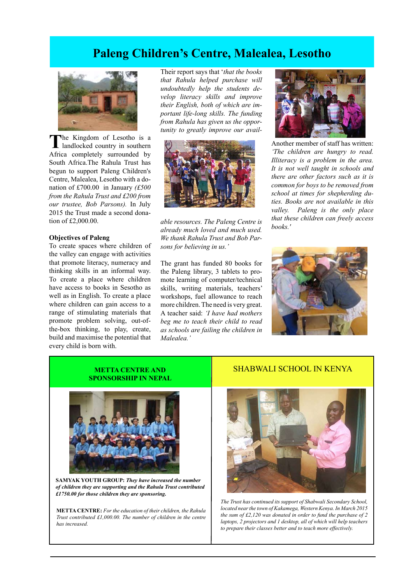## **Paleng Children's Centre, Malealea, Lesotho**



**T**he Kingdom of Lesotho is a landlocked country in southern Africa completely surrounded by South Africa.The Rahula Trust has begun to support Paleng Children's Centre, Malealea, Lesotho with a donation of £700.00 in January *(£500 from the Rahula Trust and £200 from our trustee, Bob Parsons).* In July 2015 the Trust made a second donation of £2,000.00.

#### **Objectives of Paleng**

To create spaces where children of the valley can engage with activities that promote literacy, numeracy and thinking skills in an informal way. To create a place where children have access to books in Sesotho as well as in English. To create a place where children can gain access to a range of stimulating materials that promote problem solving, out-ofthe-box thinking, to play, create, build and maximise the potential that every child is born with.

Their report says that '*that the books that Rahula helped purchase will undoubtedly help the students develop literacy skills and improve their English, both of which are important life-long skills. The funding from Rahula has given us the opportunity to greatly improve our avail-*



*able resources. The Paleng Centre is already much loved and much used. We thank Rahula Trust and Bob Parsons for believing in us.'*

The grant has funded 80 books for the Paleng library, 3 tablets to promote learning of computer/technical skills, writing materials, teachers' workshops, fuel allowance to reach more children. The need is very great. A teacher said: *'I have had mothers beg me to teach their child to read as schools are failing the children in Malealea.'* 



Another member of staff has written: *'The children are hungry to read. Illiteracy is a problem in the area. It is not well taught in schools and there are other factors such as it is common for boys to be removed from school at times for shepherding duties. Books are not available in this valley. Paleng is the only place that these children can freely access books.'* 



#### **METTA CENTRE AND SPONSORSHIP IN NEPAL**



**SAMYAK YOUTH GROUP:** *They have increased the number of children they are supporting and the Rahula Trust contributed £1750.00 for those children they are sponsoring.* 

**METTA CENTRE:** *For the education of their children, the Rahula Trust contributed £1,000.00. The number of children in the centre has increased.*

#### SHABWALI SCHOOL IN KENYA



*The Trust has continued its support of Shabwali Secondary School, located near the town of Kakamega, Western Kenya. In March 2015 the sum of £2,120 was donated in order to fund the purchase of 2 laptops, 2 projectors and 1 desktop, all of which will help teachers to prepare their classes better and to teach more effectively.*